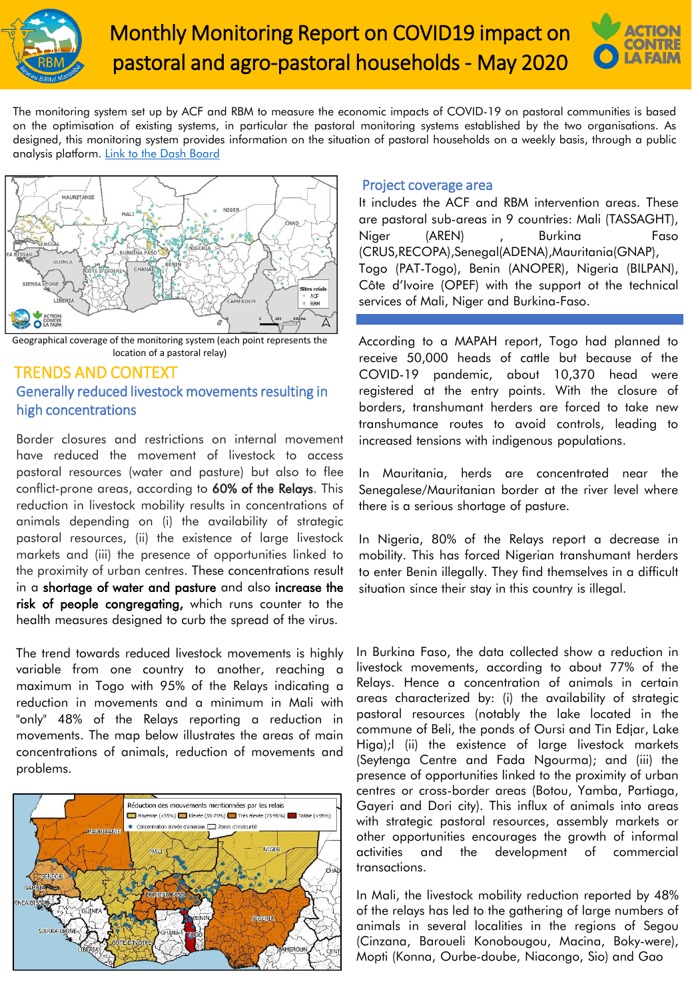



The monitoring system set up by ACF and RBM to measure the economic impacts of COVID-19 on pastoral communities is based on the optimisation of existing systems, in particular the pastoral monitoring systems established by the two organisations. As designed, this monitoring system provides information on the situation of pastoral households on a weekly basis, through a public analysis platform. Link to the Dash [Board](https://app.powerbi.com/view?r=eyJrIjoiNzg2YWJlNTAtMDI0MC00OTVlLWE5YmEtMmJjMTY5YjIxNTU3IiwidCI6ImZmMTA1ZDRmLTAzOWYtNDQ0Zi1iZDZmLTBlZDFlMzVkYWVmNCIsImMiOjh9)



Geographical coverage of the monitoring system (each point represents the location of a pastoral relay)

# TRENDS AND CONTEXT Generally reduced livestock movements resulting in high concentrations

Border closures and restrictions on internal movement have reduced the movement of livestock to access pastoral resources (water and pasture) but also to flee conflict-prone areas, according to 60% of the Relays. This reduction in livestock mobility results in concentrations of animals depending on (i) the availability of strategic pastoral resources, (ii) the existence of large livestock markets and (iii) the presence of opportunities linked to the proximity of urban centres. These concentrations result in a shortage of water and pasture and also increase the risk of people congregating, which runs counter to the health measures designed to curb the spread of the virus.

The trend towards reduced livestock movements is highly variable from one country to another, reaching a maximum in Togo with 95% of the Relays indicating a reduction in movements and a minimum in Mali with "only" 48% of the Relays reporting a reduction in movements. The map below illustrates the areas of main concentrations of animals, reduction of movements and problems.



#### Project coverage area

It includes the ACF and RBM intervention areas. These are pastoral sub-areas in 9 countries: Mali (TASSAGHT), Niger (AREN) , Burkina Faso (CRUS,RECOPA),Senegal(ADENA),Mauritania(GNAP), Togo (PAT-Togo), Benin (ANOPER), Nigeria (BILPAN), Côte d'Ivoire (OPEF) with the support ot the technical services of Mali, Niger and Burkina-Faso.

According to a MAPAH report, Togo had planned to receive 50,000 heads of cattle but because of the COVID-19 pandemic, about 10,370 head were registered at the entry points. With the closure of borders, transhumant herders are forced to take new transhumance routes to avoid controls, leading to increased tensions with indigenous populations.

In Mauritania, herds are concentrated near the Senegalese/Mauritanian border at the river level where there is a serious shortage of pasture.

In Nigeria, 80% of the Relays report a decrease in mobility. This has forced Nigerian transhumant herders to enter Benin illegally. They find themselves in a difficult situation since their stay in this country is illegal.

In Burkina Faso, the data collected show a reduction in livestock movements, according to about 77% of the Relays. Hence a concentration of animals in certain areas characterized by: (i) the availability of strategic pastoral resources (notably the lake located in the commune of Beli, the ponds of Oursi and Tin Edjar, Lake Higa);l (ii) the existence of large livestock markets (Seytenga Centre and Fada Ngourma); and (iii) the presence of opportunities linked to the proximity of urban centres or cross-border areas (Botou, Yamba, Partiaga, Gayeri and Dori city). This influx of animals into areas with strategic pastoral resources, assembly markets or other opportunities encourages the growth of informal activities and the development of commercial transactions.

In Mali, the livestock mobility reduction reported by 48% of the relays has led to the gathering of large numbers of animals in several localities in the regions of Segou (Cinzana, Baroueli Konobougou, Macina, Boky-were), Mopti (Konna, Ourbe-doube, Niacongo, Sio) and Gao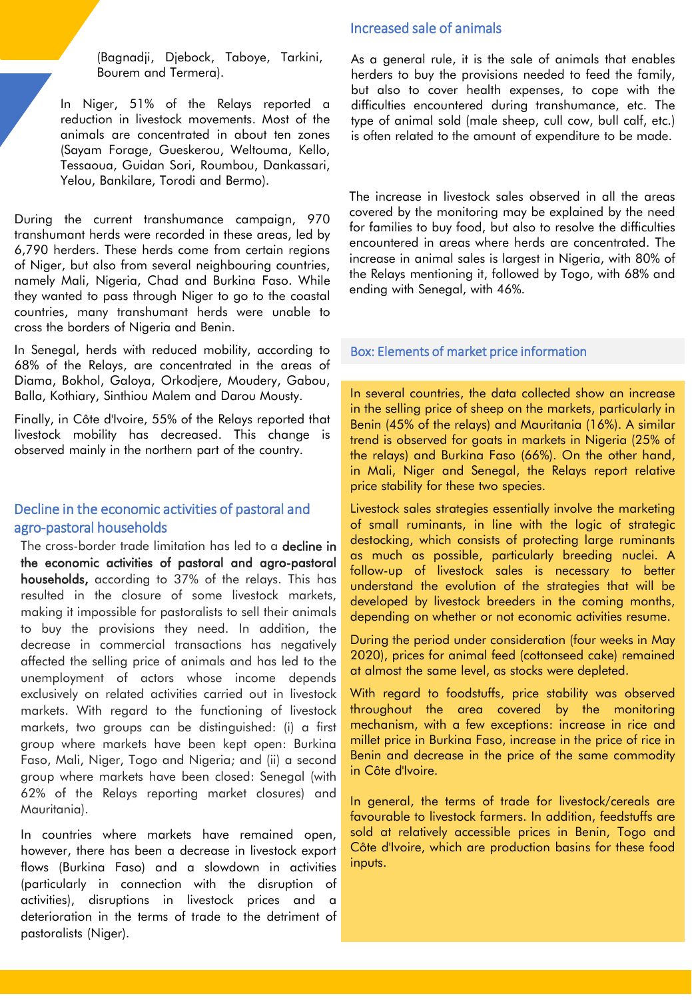(Bagnadji, Djebock, Taboye, Tarkini, Bourem and Termera).

In Niger, 51% of the Relays reported a reduction in livestock movements. Most of the animals are concentrated in about ten zones (Sayam Forage, Gueskerou, Weltouma, Kello, Tessaoua, Guidan Sori, Roumbou, Dankassari, Yelou, Bankilare, Torodi and Bermo).

During the current transhumance campaign, 970 transhumant herds were recorded in these areas, led by 6,790 herders. These herds come from certain regions of Niger, but also from several neighbouring countries, namely Mali, Nigeria, Chad and Burkina Faso. While they wanted to pass through Niger to go to the coastal countries, many transhumant herds were unable to cross the borders of Nigeria and Benin.

In Senegal, herds with reduced mobility, according to 68% of the Relays, are concentrated in the areas of Diama, Bokhol, Galoya, Orkodjere, Moudery, Gabou, Balla, Kothiary, Sinthiou Malem and Darou Mousty.

Finally, in Côte d'Ivoire, 55% of the Relays reported that livestock mobility has decreased. This change is observed mainly in the northern part of the country.

# Decline in the economic activities of pastoral and agro-pastoral households

The cross-border trade limitation has led to a **decline in** the economic activities of pastoral and agro-pastoral households, according to 37% of the relays. This has resulted in the closure of some livestock markets, making it impossible for pastoralists to sell their animals to buy the provisions they need. In addition, the decrease in commercial transactions has negatively affected the selling price of animals and has led to the unemployment of actors whose income depends exclusively on related activities carried out in livestock markets. With regard to the functioning of livestock markets, two groups can be distinguished: (i) a first group where markets have been kept open: Burkina Faso, Mali, Niger, Togo and Nigeria; and (ii) a second group where markets have been closed: Senegal (with 62% of the Relays reporting market closures) and Mauritania).

In countries where markets have remained open, however, there has been a decrease in livestock export flows (Burkina Faso) and a slowdown in activities (particularly in connection with the disruption of activities), disruptions in livestock prices and a deterioration in the terms of trade to the detriment of pastoralists (Niger).

## Increased sale of animals

As a general rule, it is the sale of animals that enables herders to buy the provisions needed to feed the family, but also to cover health expenses, to cope with the difficulties encountered during transhumance, etc. The type of animal sold (male sheep, cull cow, bull calf, etc.) is often related to the amount of expenditure to be made.

The increase in livestock sales observed in all the areas covered by the monitoring may be explained by the need for families to buy food, but also to resolve the difficulties encountered in areas where herds are concentrated. The increase in animal sales is largest in Nigeria, with 80% of the Relays mentioning it, followed by Togo, with 68% and ending with Senegal, with 46%.

#### Box: Elements of market price information

In several countries, the data collected show an increase in the selling price of sheep on the markets, particularly in Benin (45% of the relays) and Mauritania (16%). A similar trend is observed for goats in markets in Nigeria (25% of the relays) and Burkina Faso (66%). On the other hand, in Mali, Niger and Senegal, the Relays report relative price stability for these two species.

Livestock sales strategies essentially involve the marketing of small ruminants, in line with the logic of strategic destocking, which consists of protecting large ruminants as much as possible, particularly breeding nuclei. A follow-up of livestock sales is necessary to better understand the evolution of the strategies that will be developed by livestock breeders in the coming months, depending on whether or not economic activities resume.

During the period under consideration (four weeks in May 2020), prices for animal feed (cottonseed cake) remained at almost the same level, as stocks were depleted.

With regard to foodstuffs, price stability was observed throughout the area covered by the monitoring mechanism, with a few exceptions: increase in rice and millet price in Burkina Faso, increase in the price of rice in Benin and decrease in the price of the same commodity in Côte d'Ivoire.

In general, the terms of trade for livestock/cereals are favourable to livestock farmers. In addition, feedstuffs are sold at relatively accessible prices in Benin, Togo and Côte d'Ivoire, which are production basins for these food inputs.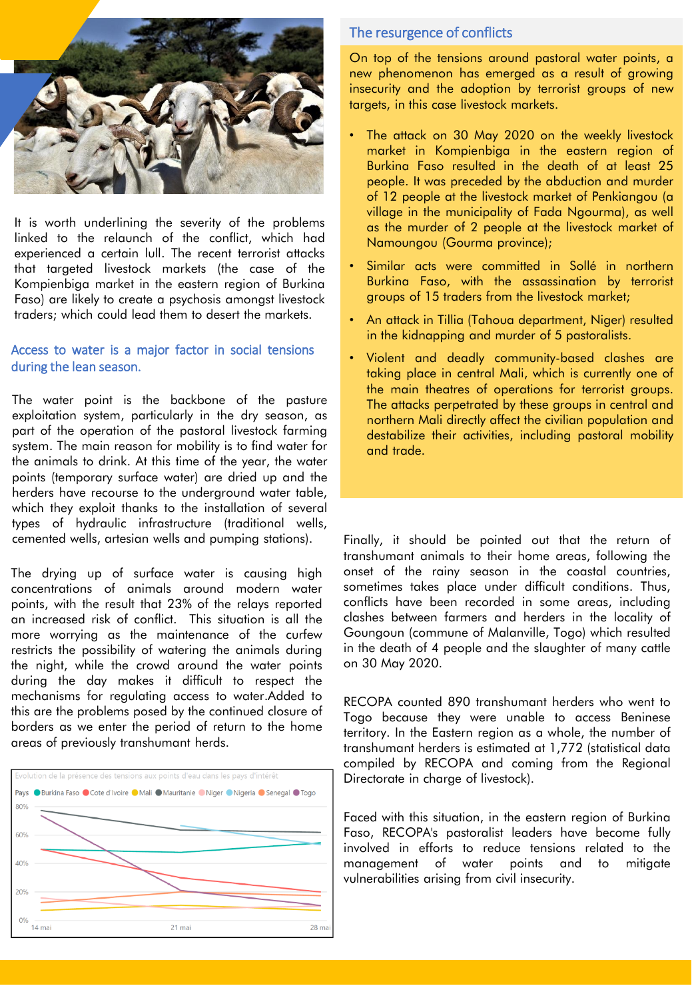

It is worth underlining the severity of the problems linked to the relaunch of the conflict, which had experienced a certain lull. The recent terrorist attacks that targeted livestock markets (the case of the Kompienbiga market in the eastern region of Burkina Faso) are likely to create a psychosis amongst livestock traders; which could lead them to desert the markets.

## Access to water is a major factor in social tensions during the lean season.

The water point is the backbone of the pasture exploitation system, particularly in the dry season, as part of the operation of the pastoral livestock farming system. The main reason for mobility is to find water for the animals to drink. At this time of the year, the water points (temporary surface water) are dried up and the herders have recourse to the underground water table, which they exploit thanks to the installation of several types of hydraulic infrastructure (traditional wells, cemented wells, artesian wells and pumping stations).

The drying up of surface water is causing high concentrations of animals around modern water points, with the result that 23% of the relays reported an increased risk of conflict. This situation is all the more worrying as the maintenance of the curfew restricts the possibility of watering the animals during the night, while the crowd around the water points during the day makes it difficult to respect the mechanisms for regulating access to water.Added to this are the problems posed by the continued closure of borders as we enter the period of return to the home areas of previously transhumant herds.



## The resurgence of conflicts

On top of the tensions around pastoral water points, a new phenomenon has emerged as a result of growing insecurity and the adoption by terrorist groups of new targets, in this case livestock markets.

- The attack on 30 May 2020 on the weekly livestock market in Kompienbiga in the eastern region of Burkina Faso resulted in the death of at least 25 people. It was preceded by the abduction and murder of 12 people at the livestock market of Penkiangou (a village in the municipality of Fada Ngourma), as well as the murder of 2 people at the livestock market of Namoungou (Gourma province);
- Similar acts were committed in Sollé in northern Burkina Faso, with the assassination by terrorist groups of 15 traders from the livestock market;
- An attack in Tillia (Tahoua department, Niger) resulted in the kidnapping and murder of 5 pastoralists.
- Violent and deadly community-based clashes are taking place in central Mali, which is currently one of the main theatres of operations for terrorist groups. The attacks perpetrated by these groups in central and northern Mali directly affect the civilian population and destabilize their activities, including pastoral mobility and trade.

Finally, it should be pointed out that the return of transhumant animals to their home areas, following the onset of the rainy season in the coastal countries, sometimes takes place under difficult conditions. Thus, conflicts have been recorded in some areas, including clashes between farmers and herders in the locality of Goungoun (commune of Malanville, Togo) which resulted in the death of 4 people and the slaughter of many cattle on 30 May 2020.

RECOPA counted 890 transhumant herders who went to Togo because they were unable to access Beninese territory. In the Eastern region as a whole, the number of transhumant herders is estimated at 1,772 (statistical data compiled by RECOPA and coming from the Regional Directorate in charge of livestock).

Faced with this situation, in the eastern region of Burkina Faso, RECOPA's pastoralist leaders have become fully involved in efforts to reduce tensions related to the management of water points and to mitigate vulnerabilities arising from civil insecurity.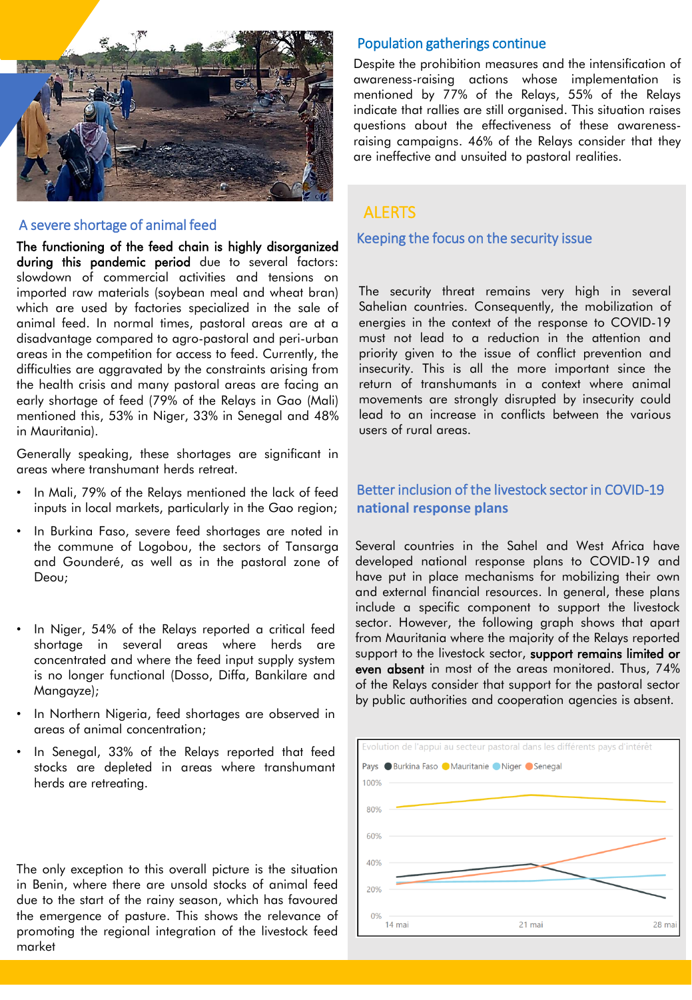

#### A severe shortage of animal feed

The functioning of the feed chain is highly disorganized during this pandemic period due to several factors: slowdown of commercial activities and tensions on imported raw materials (soybean meal and wheat bran) which are used by factories specialized in the sale of animal feed. In normal times, pastoral areas are at a disadvantage compared to agro-pastoral and peri-urban areas in the competition for access to feed. Currently, the difficulties are aggravated by the constraints arising from the health crisis and many pastoral areas are facing an early shortage of feed (79% of the Relays in Gao (Mali) mentioned this, 53% in Niger, 33% in Senegal and 48% in Mauritania).

Generally speaking, these shortages are significant in areas where transhumant herds retreat.

- In Mali, 79% of the Relays mentioned the lack of feed inputs in local markets, particularly in the Gao region;
- In Burkina Faso, severe feed shortages are noted in the commune of Logobou, the sectors of Tansarga and Gounderé, as well as in the pastoral zone of Deou;
- In Niger, 54% of the Relays reported a critical feed shortage in several areas where herds are concentrated and where the feed input supply system is no longer functional (Dosso, Diffa, Bankilare and Mangayze);
- In Northern Nigeria, feed shortages are observed in areas of animal concentration;
- In Senegal, 33% of the Relays reported that feed stocks are depleted in areas where transhumant herds are retreating.

The only exception to this overall picture is the situation in Benin, where there are unsold stocks of animal feed due to the start of the rainy season, which has favoured the emergence of pasture. This shows the relevance of promoting the regional integration of the livestock feed market

#### Population gatherings continue

Despite the prohibition measures and the intensification of awareness-raising actions whose implementation is mentioned by 77% of the Relays, 55% of the Relays indicate that rallies are still organised. This situation raises questions about the effectiveness of these awarenessraising campaigns. 46% of the Relays consider that they are ineffective and unsuited to pastoral realities.

## ALERTS

Keeping the focus on the security issue

The security threat remains very high in several Sahelian countries. Consequently, the mobilization of energies in the context of the response to COVID-19 must not lead to a reduction in the attention and priority given to the issue of conflict prevention and insecurity. This is all the more important since the return of transhumants in a context where animal movements are strongly disrupted by insecurity could lead to an increase in conflicts between the various users of rural areas.

# Better inclusion of the livestock sector in COVID-19 **national response plans**

Several countries in the Sahel and West Africa have developed national response plans to COVID-19 and have put in place mechanisms for mobilizing their own and external financial resources. In general, these plans include a specific component to support the livestock sector. However, the following graph shows that apart from Mauritania where the majority of the Relays reported support to the livestock sector, support remains limited or even absent in most of the areas monitored. Thus, 74% of the Relays consider that support for the pastoral sector by public authorities and cooperation agencies is absent.